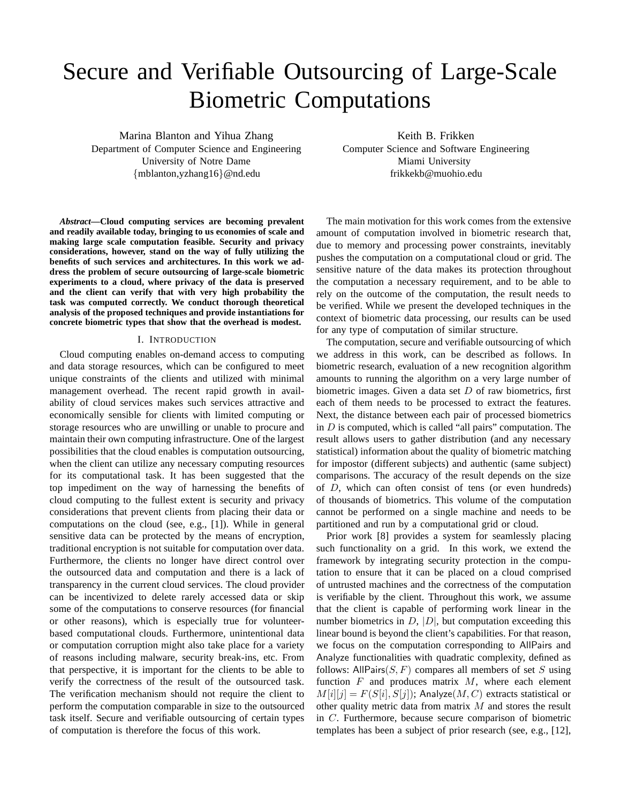# Secure and Verifiable Outsourcing of Large-Scale Biometric Computations

Marina Blanton and Yihua Zhang Department of Computer Science and Engineering University of Notre Dame {mblanton,yzhang16}@nd.edu

Keith B. Frikken Computer Science and Software Engineering Miami University frikkekb@muohio.edu

*Abstract***—Cloud computing services are becoming prevalent and readily available today, bringing to us economies of scale and making large scale computation feasible. Security and privacy considerations, however, stand on the way of fully utilizing the benefits of such services and architectures. In this work we address the problem of secure outsourcing of large-scale biometric experiments to a cloud, where privacy of the data is preserved and the client can verify that with very high probability the task was computed correctly. We conduct thorough theoretical analysis of the proposed techniques and provide instantiations for concrete biometric types that show that the overhead is modest.**

## I. INTRODUCTION

Cloud computing enables on-demand access to computing and data storage resources, which can be configured to meet unique constraints of the clients and utilized with minimal management overhead. The recent rapid growth in availability of cloud services makes such services attractive and economically sensible for clients with limited computing or storage resources who are unwilling or unable to procure and maintain their own computing infrastructure. One of the largest possibilities that the cloud enables is computation outsourcing, when the client can utilize any necessary computing resources for its computational task. It has been suggested that the top impediment on the way of harnessing the benefits of cloud computing to the fullest extent is security and privacy considerations that prevent clients from placing their data or computations on the cloud (see, e.g., [1]). While in general sensitive data can be protected by the means of encryption, traditional encryption is not suitable for computation over data. Furthermore, the clients no longer have direct control over the outsourced data and computation and there is a lack of transparency in the current cloud services. The cloud provider can be incentivized to delete rarely accessed data or skip some of the computations to conserve resources (for financial or other reasons), which is especially true for volunteerbased computational clouds. Furthermore, unintentional data or computation corruption might also take place for a variety of reasons including malware, security break-ins, etc. From that perspective, it is important for the clients to be able to verify the correctness of the result of the outsourced task. The verification mechanism should not require the client to perform the computation comparable in size to the outsourced task itself. Secure and verifiable outsourcing of certain types of computation is therefore the focus of this work.

The main motivation for this work comes from the extensive amount of computation involved in biometric research that, due to memory and processing power constraints, inevitably pushes the computation on a computational cloud or grid. The sensitive nature of the data makes its protection throughout the computation a necessary requirement, and to be able to rely on the outcome of the computation, the result needs to be verified. While we present the developed techniques in the context of biometric data processing, our results can be used for any type of computation of similar structure.

The computation, secure and verifiable outsourcing of which we address in this work, can be described as follows. In biometric research, evaluation of a new recognition algorithm amounts to running the algorithm on a very large number of biometric images. Given a data set  $D$  of raw biometrics, first each of them needs to be processed to extract the features. Next, the distance between each pair of processed biometrics in  $D$  is computed, which is called "all pairs" computation. The result allows users to gather distribution (and any necessary statistical) information about the quality of biometric matching for impostor (different subjects) and authentic (same subject) comparisons. The accuracy of the result depends on the size of D, which can often consist of tens (or even hundreds) of thousands of biometrics. This volume of the computation cannot be performed on a single machine and needs to be partitioned and run by a computational grid or cloud.

Prior work [8] provides a system for seamlessly placing such functionality on a grid. In this work, we extend the framework by integrating security protection in the computation to ensure that it can be placed on a cloud comprised of untrusted machines and the correctness of the computation is verifiable by the client. Throughout this work, we assume that the client is capable of performing work linear in the number biometrics in  $D$ ,  $|D|$ , but computation exceeding this linear bound is beyond the client's capabilities. For that reason, we focus on the computation corresponding to AllPairs and Analyze functionalities with quadratic complexity, defined as follows: AllPairs $(S, F)$  compares all members of set S using function  $F$  and produces matrix  $M$ , where each element  $M[i][j] = F(S[i], S[j])$ ; Analyze $(M, C)$  extracts statistical or other quality metric data from matrix  $M$  and stores the result in C. Furthermore, because secure comparison of biometric templates has been a subject of prior research (see, e.g., [12],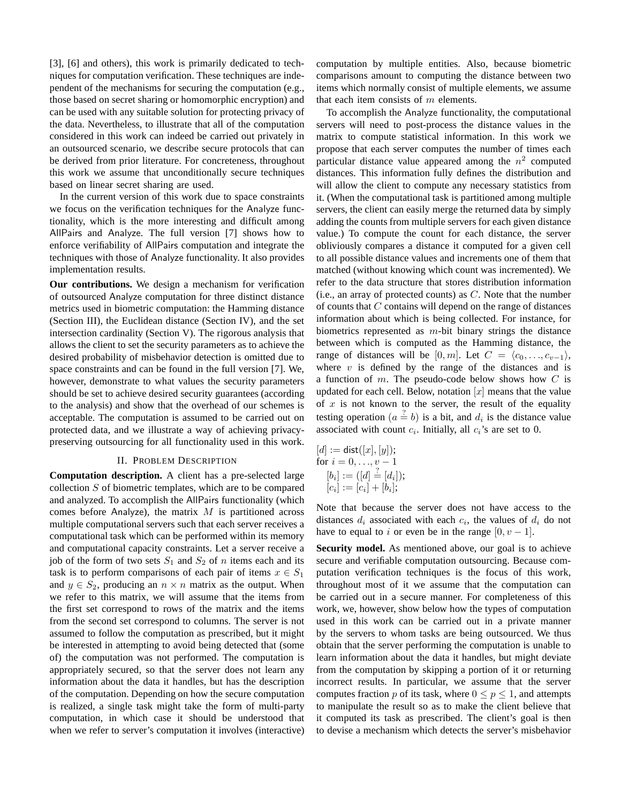[3], [6] and others), this work is primarily dedicated to techniques for computation verification. These techniques are independent of the mechanisms for securing the computation (e.g., those based on secret sharing or homomorphic encryption) and can be used with any suitable solution for protecting privacy of the data. Nevertheless, to illustrate that all of the computation considered in this work can indeed be carried out privately in an outsourced scenario, we describe secure protocols that can be derived from prior literature. For concreteness, throughout this work we assume that unconditionally secure techniques based on linear secret sharing are used.

In the current version of this work due to space constraints we focus on the verification techniques for the Analyze functionality, which is the more interesting and difficult among AllPairs and Analyze. The full version [7] shows how to enforce verifiability of AllPairs computation and integrate the techniques with those of Analyze functionality. It also provides implementation results.

**Our contributions.** We design a mechanism for verification of outsourced Analyze computation for three distinct distance metrics used in biometric computation: the Hamming distance (Section III), the Euclidean distance (Section IV), and the set intersection cardinality (Section V). The rigorous analysis that allows the client to set the security parameters as to achieve the desired probability of misbehavior detection is omitted due to space constraints and can be found in the full version [7]. We, however, demonstrate to what values the security parameters should be set to achieve desired security guarantees (according to the analysis) and show that the overhead of our schemes is acceptable. The computation is assumed to be carried out on protected data, and we illustrate a way of achieving privacypreserving outsourcing for all functionality used in this work.

## II. PROBLEM DESCRIPTION

**Computation description.** A client has a pre-selected large collection  $S$  of biometric templates, which are to be compared and analyzed. To accomplish the AllPairs functionality (which comes before Analyze), the matrix  $M$  is partitioned across multiple computational servers such that each server receives a computational task which can be performed within its memory and computational capacity constraints. Let a server receive a job of the form of two sets  $S_1$  and  $S_2$  of n items each and its task is to perform comparisons of each pair of items  $x \in S_1$ and  $y \in S_2$ , producing an  $n \times n$  matrix as the output. When we refer to this matrix, we will assume that the items from the first set correspond to rows of the matrix and the items from the second set correspond to columns. The server is not assumed to follow the computation as prescribed, but it might be interested in attempting to avoid being detected that (some of) the computation was not performed. The computation is appropriately secured, so that the server does not learn any information about the data it handles, but has the description of the computation. Depending on how the secure computation is realized, a single task might take the form of multi-party computation, in which case it should be understood that when we refer to server's computation it involves (interactive)

computation by multiple entities. Also, because biometric comparisons amount to computing the distance between two items which normally consist of multiple elements, we assume that each item consists of  $m$  elements.

To accomplish the Analyze functionality, the computational servers will need to post-process the distance values in the matrix to compute statistical information. In this work we propose that each server computes the number of times each particular distance value appeared among the  $n^2$  computed distances. This information fully defines the distribution and will allow the client to compute any necessary statistics from it. (When the computational task is partitioned among multiple servers, the client can easily merge the returned data by simply adding the counts from multiple servers for each given distance value.) To compute the count for each distance, the server obliviously compares a distance it computed for a given cell to all possible distance values and increments one of them that matched (without knowing which count was incremented). We refer to the data structure that stores distribution information (i.e., an array of protected counts) as  $C$ . Note that the number of counts that  $C$  contains will depend on the range of distances information about which is being collected. For instance, for biometrics represented as  $m$ -bit binary strings the distance between which is computed as the Hamming distance, the range of distances will be [0, m]. Let  $C = \langle c_0, \ldots, c_{v-1} \rangle$ , where  $v$  is defined by the range of the distances and is a function of  $m$ . The pseudo-code below shows how  $C$  is updated for each cell. Below, notation  $[x]$  means that the value of  $x$  is not known to the server, the result of the equality testing operation  $(a = b)$  is a bit, and  $d_i$  is the distance value associated with count  $c_i$ . Initially, all  $c_i$ 's are set to 0.

$$
[d] := \text{dist}([x], [y]);
$$
  
for  $i = 0, ..., v - 1$   

$$
[b_i] := ([d] \stackrel{?}{=} [d_i]);
$$
  

$$
[c_i] := [c_i] + [b_i];
$$

Note that because the server does not have access to the distances  $d_i$  associated with each  $c_i$ , the values of  $d_i$  do not have to equal to i or even be in the range  $[0, v - 1]$ .

**Security model.** As mentioned above, our goal is to achieve secure and verifiable computation outsourcing. Because computation verification techniques is the focus of this work, throughout most of it we assume that the computation can be carried out in a secure manner. For completeness of this work, we, however, show below how the types of computation used in this work can be carried out in a private manner by the servers to whom tasks are being outsourced. We thus obtain that the server performing the computation is unable to learn information about the data it handles, but might deviate from the computation by skipping a portion of it or returning incorrect results. In particular, we assume that the server computes fraction p of its task, where  $0 \le p \le 1$ , and attempts to manipulate the result so as to make the client believe that it computed its task as prescribed. The client's goal is then to devise a mechanism which detects the server's misbehavior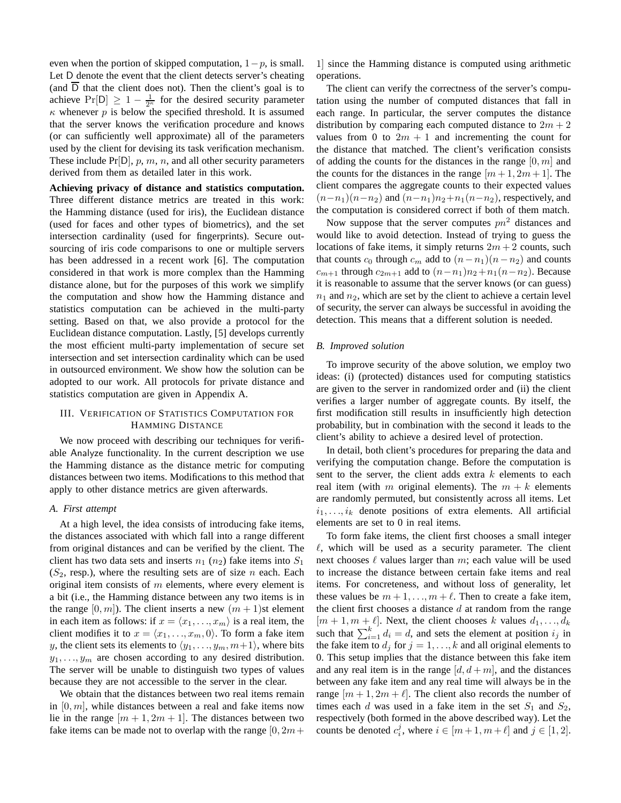even when the portion of skipped computation,  $1-p$ , is small. Let D denote the event that the client detects server's cheating (and D that the client does not). Then the client's goal is to achieve  $Pr[D] \ge 1 - \frac{1}{2^{\kappa}}$  for the desired security parameter  $\kappa$  whenever p is below the specified threshold. It is assumed that the server knows the verification procedure and knows (or can sufficiently well approximate) all of the parameters used by the client for devising its task verification mechanism. These include  $Pr[D], p, m, n$ , and all other security parameters derived from them as detailed later in this work.

**Achieving privacy of distance and statistics computation.** Three different distance metrics are treated in this work: the Hamming distance (used for iris), the Euclidean distance (used for faces and other types of biometrics), and the set intersection cardinality (used for fingerprints). Secure outsourcing of iris code comparisons to one or multiple servers has been addressed in a recent work [6]. The computation considered in that work is more complex than the Hamming distance alone, but for the purposes of this work we simplify the computation and show how the Hamming distance and statistics computation can be achieved in the multi-party setting. Based on that, we also provide a protocol for the Euclidean distance computation. Lastly, [5] develops currently the most efficient multi-party implementation of secure set intersection and set intersection cardinality which can be used in outsourced environment. We show how the solution can be adopted to our work. All protocols for private distance and statistics computation are given in Appendix A.

# III. VERIFICATION OF STATISTICS COMPUTATION FOR HAMMING DISTANCE

We now proceed with describing our techniques for verifiable Analyze functionality. In the current description we use the Hamming distance as the distance metric for computing distances between two items. Modifications to this method that apply to other distance metrics are given afterwards.

## *A. First attempt*

At a high level, the idea consists of introducing fake items, the distances associated with which fall into a range different from original distances and can be verified by the client. The client has two data sets and inserts  $n_1$  ( $n_2$ ) fake items into  $S_1$  $(S_2, \text{resp.})$ , where the resulting sets are of size *n* each. Each original item consists of  $m$  elements, where every element is a bit (i.e., the Hamming distance between any two items is in the range  $[0, m]$ ). The client inserts a new  $(m + 1)$ st element in each item as follows: if  $x = \langle x_1, \ldots, x_m \rangle$  is a real item, the client modifies it to  $x = \langle x_1, \ldots, x_m, 0 \rangle$ . To form a fake item y, the client sets its elements to  $\langle y_1, \ldots, y_m, m+1 \rangle$ , where bits  $y_1, \ldots, y_m$  are chosen according to any desired distribution. The server will be unable to distinguish two types of values because they are not accessible to the server in the clear.

We obtain that the distances between two real items remain in  $[0, m]$ , while distances between a real and fake items now lie in the range  $[m + 1, 2m + 1]$ . The distances between two fake items can be made not to overlap with the range  $[0, 2m +$ 

1] since the Hamming distance is computed using arithmetic operations.

The client can verify the correctness of the server's computation using the number of computed distances that fall in each range. In particular, the server computes the distance distribution by comparing each computed distance to  $2m + 2$ values from 0 to  $2m + 1$  and incrementing the count for the distance that matched. The client's verification consists of adding the counts for the distances in the range  $[0, m]$  and the counts for the distances in the range  $[m+1, 2m+1]$ . The client compares the aggregate counts to their expected values  $(n-n_1)(n-n_2)$  and  $(n-n_1)n_2+n_1(n-n_2)$ , respectively, and the computation is considered correct if both of them match.

Now suppose that the server computes  $pn^2$  distances and would like to avoid detection. Instead of trying to guess the locations of fake items, it simply returns  $2m + 2$  counts, such that counts  $c_0$  through  $c_m$  add to  $(n-n_1)(n-n_2)$  and counts  $c_{m+1}$  through  $c_{2m+1}$  add to  $(n-n_1)n_2+n_1(n-n_2)$ . Because it is reasonable to assume that the server knows (or can guess)  $n_1$  and  $n_2$ , which are set by the client to achieve a certain level of security, the server can always be successful in avoiding the detection. This means that a different solution is needed.

#### *B. Improved solution*

To improve security of the above solution, we employ two ideas: (i) (protected) distances used for computing statistics are given to the server in randomized order and (ii) the client verifies a larger number of aggregate counts. By itself, the first modification still results in insufficiently high detection probability, but in combination with the second it leads to the client's ability to achieve a desired level of protection.

In detail, both client's procedures for preparing the data and verifying the computation change. Before the computation is sent to the server, the client adds extra  $k$  elements to each real item (with m original elements). The  $m + k$  elements are randomly permuted, but consistently across all items. Let  $i_1, \ldots, i_k$  denote positions of extra elements. All artificial elements are set to 0 in real items.

To form fake items, the client first chooses a small integer  $\ell$ , which will be used as a security parameter. The client next chooses  $\ell$  values larger than  $m$ ; each value will be used to increase the distance between certain fake items and real items. For concreteness, and without loss of generality, let these values be  $m+1, \ldots, m+\ell$ . Then to create a fake item, the client first chooses a distance  $d$  at random from the range  $[m+1, m+\ell]$ . Next, the client chooses k values  $d_1, \ldots, d_k$ such that  $\sum_{i=1}^{k} d_i = d$ , and sets the element at position  $i_j$  in the fake item to  $d_j$  for  $j = 1, \ldots, k$  and all original elements to 0. This setup implies that the distance between this fake item and any real item is in the range  $[d, d+m]$ , and the distances between any fake item and any real time will always be in the range  $[m+1, 2m + \ell]$ . The client also records the number of times each d was used in a fake item in the set  $S_1$  and  $S_2$ , respectively (both formed in the above described way). Let the counts be denoted  $c_i^j$ , where  $i \in [m+1, m+\ell]$  and  $j \in [1, 2]$ .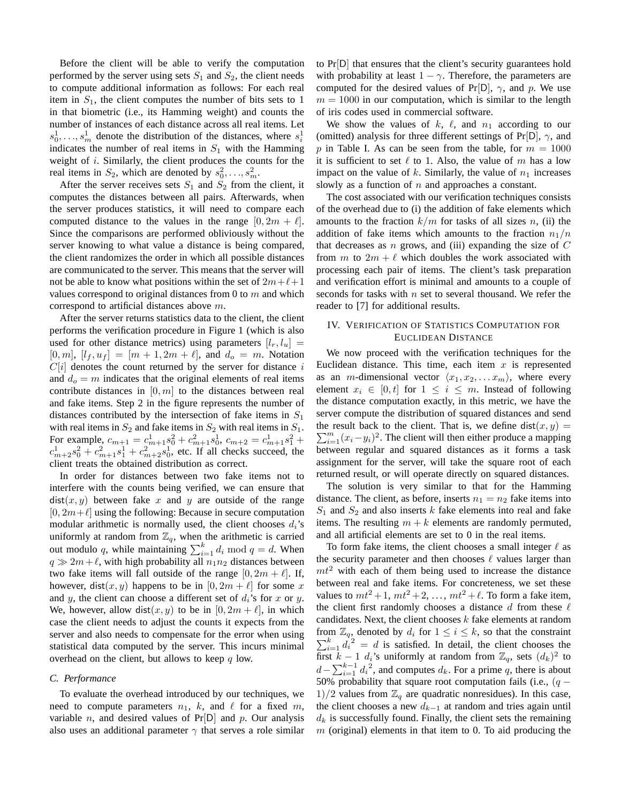Before the client will be able to verify the computation performed by the server using sets  $S_1$  and  $S_2$ , the client needs to compute additional information as follows: For each real item in  $S_1$ , the client computes the number of bits sets to 1 in that biometric (i.e., its Hamming weight) and counts the number of instances of each distance across all real items. Let  $s_0^1, \ldots, s_m^1$  denote the distribution of the distances, where  $s_i^1$ indicates the number of real items in  $S_1$  with the Hamming weight of  $i$ . Similarly, the client produces the counts for the real items in  $S_2$ , which are denoted by  $s_0^2, \ldots, s_m^2$ .

After the server receives sets  $S_1$  and  $S_2$  from the client, it computes the distances between all pairs. Afterwards, when the server produces statistics, it will need to compare each computed distance to the values in the range  $[0, 2m + \ell]$ . Since the comparisons are performed obliviously without the server knowing to what value a distance is being compared, the client randomizes the order in which all possible distances are communicated to the server. This means that the server will not be able to know what positions within the set of  $2m+\ell+1$ values correspond to original distances from 0 to  $m$  and which correspond to artificial distances above m.

After the server returns statistics data to the client, the client performs the verification procedure in Figure 1 (which is also used for other distance metrics) using parameters  $[l_r, l_u] =$  $[0, m], [l_f, u_f] = [m + 1, 2m + \ell],$  and  $d_o = m$ . Notation  $C[i]$  denotes the count returned by the server for distance i and  $d_o = m$  indicates that the original elements of real items contribute distances in  $[0, m]$  to the distances between real and fake items. Step 2 in the figure represents the number of distances contributed by the intersection of fake items in  $S_1$ with real items in  $S_2$  and fake items in  $S_2$  with real items in  $S_1$ . For example,  $c_{m+1} = c_{m+1}^1 s_0^2 + c_{m+1}^2 s_0^1$ ,  $c_{m+2} = c_{m+1}^1 s_1^2 + c_{m+1}^2 s_0^2$  $c_{m+2}^1 s_0^2 + c_{m+1}^2 s_1^1 + c_{m+2}^2 s_0^1$ , etc. If all checks succeed, the client treats the obtained distribution as correct.

In order for distances between two fake items not to interfere with the counts being verified, we can ensure that  $dist(x, y)$  between fake x and y are outside of the range  $[0, 2m+\ell]$  using the following: Because in secure computation modular arithmetic is normally used, the client chooses  $d_i$ 's uniformly at random from  $\mathbb{Z}_q$ , when the arithmetic is carried out modulo q, while maintaining  $\sum_{i=1}^{k} d_i$  mod  $q = d$ . When  $q \gg 2m+\ell$ , with high probability all  $n_1n_2$  distances between two fake items will fall outside of the range  $[0, 2m + \ell]$ . If, however, dist(x, y) happens to be in  $[0, 2m + \ell]$  for some x and y, the client can choose a different set of  $d_i$ 's for x or y. We, however, allow dist(x, y) to be in  $[0, 2m + \ell]$ , in which case the client needs to adjust the counts it expects from the server and also needs to compensate for the error when using statistical data computed by the server. This incurs minimal overhead on the client, but allows to keep  $q$  low.

#### *C. Performance*

To evaluate the overhead introduced by our techniques, we need to compute parameters  $n_1$ , k, and  $\ell$  for a fixed m, variable *n*, and desired values of  $Pr[D]$  and *p*. Our analysis also uses an additional parameter  $\gamma$  that serves a role similar to Pr[D] that ensures that the client's security guarantees hold with probability at least  $1 - \gamma$ . Therefore, the parameters are computed for the desired values of Pr[D],  $\gamma$ , and p. We use  $m = 1000$  in our computation, which is similar to the length of iris codes used in commercial software.

We show the values of k,  $\ell$ , and  $n_1$  according to our (omitted) analysis for three different settings of Pr[D],  $\gamma$ , and p in Table I. As can be seen from the table, for  $m = 1000$ it is sufficient to set  $\ell$  to 1. Also, the value of m has a low impact on the value of  $k$ . Similarly, the value of  $n_1$  increases slowly as a function of  $n$  and approaches a constant.

The cost associated with our verification techniques consists of the overhead due to (i) the addition of fake elements which amounts to the fraction  $k/m$  for tasks of all sizes n, (ii) the addition of fake items which amounts to the fraction  $n_1/n$ that decreases as  $n$  grows, and (iii) expanding the size of  $C$ from m to  $2m + \ell$  which doubles the work associated with processing each pair of items. The client's task preparation and verification effort is minimal and amounts to a couple of seconds for tasks with  $n$  set to several thousand. We refer the reader to [7] for additional results.

# IV. VERIFICATION OF STATISTICS COMPUTATION FOR EUCLIDEAN DISTANCE

We now proceed with the verification techniques for the Euclidean distance. This time, each item  $x$  is represented as an *m*-dimensional vector  $\langle x_1, x_2, \ldots x_m \rangle$ , where every element  $x_i \in [0, t]$  for  $1 \leq i \leq m$ . Instead of following the distance computation exactly, in this metric, we have the server compute the distribution of squared distances and send the result back to the client. That is, we define  $dist(x, y) =$  $\sum_{i=1}^{m} (x_i - y_i)^2$ . The client will then either produce a mapping between regular and squared distances as it forms a task assignment for the server, will take the square root of each returned result, or will operate directly on squared distances.

The solution is very similar to that for the Hamming distance. The client, as before, inserts  $n_1 = n_2$  fake items into  $S_1$  and  $S_2$  and also inserts k fake elements into real and fake items. The resulting  $m + k$  elements are randomly permuted, and all artificial elements are set to 0 in the real items.

To form fake items, the client chooses a small integer  $\ell$  as the security parameter and then chooses  $\ell$  values larger than  $mt^2$  with each of them being used to increase the distance between real and fake items. For concreteness, we set these values to  $mt^2+1$ ,  $mt^2+2$ , ...,  $mt^2+\ell$ . To form a fake item, the client first randomly chooses a distance  $d$  from these  $\ell$ candidates. Next, the client chooses  $k$  fake elements at random  $\sum_{i=1}^{k} d_i^2 = d$  is satisfied. In detail, the client chooses the from  $\mathbb{Z}_q$ , denoted by  $d_i$  for  $1 \leq i \leq k$ , so that the constraint first  $k-1$  d<sub>i</sub>'s uniformly at random from  $\mathbb{Z}_q$ , sets  $(d_k)^2$  to  $d - \sum_{i=1}^{k-1} d_i^2$ , and computes  $d_k$ . For a prime q, there is about 50% probability that square root computation fails (i.e.,  $(q 1)/2$  values from  $\mathbb{Z}_q$  are quadratic nonresidues). In this case, the client chooses a new  $d_{k-1}$  at random and tries again until  $d_k$  is successfully found. Finally, the client sets the remaining  $m$  (original) elements in that item to 0. To aid producing the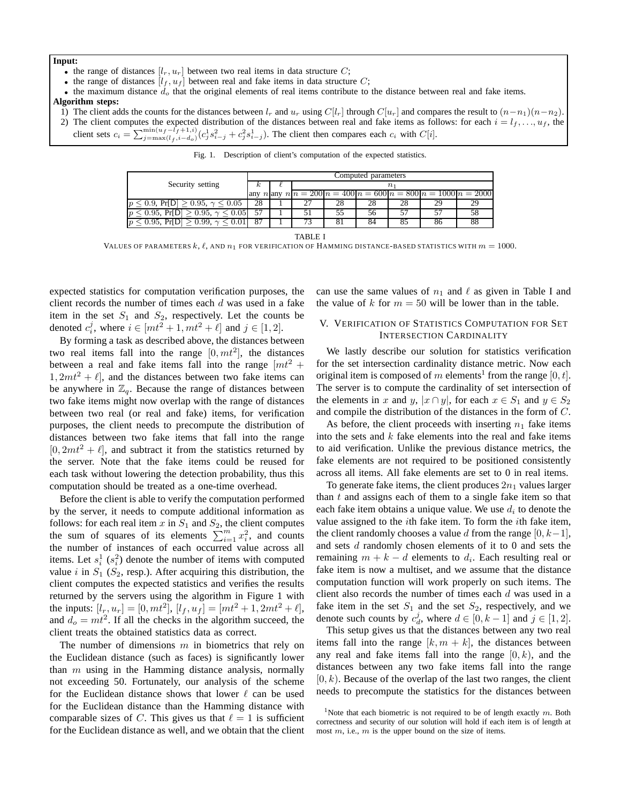#### **Input:**

- the range of distances  $[l_r, u_r]$  between two real items in data structure C;
- the range of distances  $[l_f, u_f]$  between real and fake items in data structure  $C$ ;
- the maximum distance  $d_0$  that the original elements of real items contribute to the distance between real and fake items.

#### **Algorithm steps:**

- 1) The client adds the counts for the distances between  $l_r$  and  $u_r$  using  $C[l_r]$  through  $C[u_r]$  and compares the result to  $(n-n_1)(n-n_2)$ .
- 2) The client computes the expected distribution of the distances between real and fake items as follows: for each  $i = l_f, \ldots, u_f$ , the client sets  $c_i = \sum_{j=\max(l_f,i-d_o)}^{\min(u_f-l_f+1,i)} (c_j^1 s_{i-j}^2 + c_j^2 s_{i-j}^1)$ . The client then compares each  $c_i$  with  $C[i]$ .

|                                                     | Computed parameters |  |  |    |    |   |    |                                                                                                       |
|-----------------------------------------------------|---------------------|--|--|----|----|---|----|-------------------------------------------------------------------------------------------------------|
| Security setting                                    |                     |  |  |    |    | n |    |                                                                                                       |
|                                                     |                     |  |  |    |    |   |    | $\alpha$ any $n \ln n = 200(n = 400(n = 600(n = 800(n = 1000(n = 2000(n = 1000(n = 1000(n = 1000))))$ |
| $p \le 0.9$ , Pr[D] $\ge 0.95$ , $\gamma \le 0.05$  | 28                  |  |  | 28 | 28 |   | 29 |                                                                                                       |
| $p \le 0.95$ , Pr[D] $\ge 0.95$ , $\gamma \le 0.05$ |                     |  |  |    | 56 |   |    |                                                                                                       |
| $p < 0.95$ , Pr[D] $> 0.99$ , $\gamma < 0.01$       |                     |  |  |    | 84 |   | 86 | oc                                                                                                    |

Fig. 1. Description of client's computation of the expected statistics.

#### TABLE I

VALUES OF PARAMETERS  $k, \ell$ , AND  $n_1$  FOR VERIFICATION OF HAMMING DISTANCE-BASED STATISTICS WITH  $m = 1000$ .

expected statistics for computation verification purposes, the client records the number of times each  $d$  was used in a fake item in the set  $S_1$  and  $S_2$ , respectively. Let the counts be denoted  $c_i^j$ , where  $i \in [mt^2 + 1, mt^2 + \ell]$  and  $j \in [1, 2]$ .

By forming a task as described above, the distances between two real items fall into the range  $[0, mt^2]$ , the distances between a real and fake items fall into the range  $[mt^2 +$  $1, 2mt^2 + \ell$ , and the distances between two fake items can be anywhere in  $\mathbb{Z}_q$ . Because the range of distances between two fake items might now overlap with the range of distances between two real (or real and fake) items, for verification purposes, the client needs to precompute the distribution of distances between two fake items that fall into the range  $[0, 2mt^2 + \ell]$ , and subtract it from the statistics returned by the server. Note that the fake items could be reused for each task without lowering the detection probability, thus this computation should be treated as a one-time overhead.

Before the client is able to verify the computation performed by the server, it needs to compute additional information as follows: for each real item x in  $S_1$  and  $S_2$ , the client computes the sum of squares of its elements  $\sum_{i=1}^{m} x_i^2$ , and counts the number of instances of each occurred value across all items. Let  $s_i^1$  ( $s_i^2$ ) denote the number of items with computed value i in  $S_1$  ( $S_2$ , resp.). After acquiring this distribution, the client computes the expected statistics and verifies the results returned by the servers using the algorithm in Figure 1 with the inputs:  $[l_r, u_r] = [0, mt^2], [l_f, u_f] = [mt^2 + 1, 2mt^2 + \ell],$ and  $d_o = mt^2$ . If all the checks in the algorithm succeed, the client treats the obtained statistics data as correct.

The number of dimensions  $m$  in biometrics that rely on the Euclidean distance (such as faces) is significantly lower than  $m$  using in the Hamming distance analysis, normally not exceeding 50. Fortunately, our analysis of the scheme for the Euclidean distance shows that lower  $\ell$  can be used for the Euclidean distance than the Hamming distance with comparable sizes of C. This gives us that  $\ell = 1$  is sufficient for the Euclidean distance as well, and we obtain that the client can use the same values of  $n_1$  and  $\ell$  as given in Table I and the value of k for  $m = 50$  will be lower than in the table.

# V. VERIFICATION OF STATISTICS COMPUTATION FOR SET INTERSECTION CARDINALITY

We lastly describe our solution for statistics verification for the set intersection cardinality distance metric. Now each original item is composed of m elements<sup>1</sup> from the range [0, t]. The server is to compute the cardinality of set intersection of the elements in x and y,  $|x \cap y|$ , for each  $x \in S_1$  and  $y \in S_2$ and compile the distribution of the distances in the form of C.

As before, the client proceeds with inserting  $n_1$  fake items into the sets and  $k$  fake elements into the real and fake items to aid verification. Unlike the previous distance metrics, the fake elements are not required to be positioned consistently across all items. All fake elements are set to 0 in real items.

To generate fake items, the client produces  $2n_1$  values larger than  $t$  and assigns each of them to a single fake item so that each fake item obtains a unique value. We use  $d_i$  to denote the value assigned to the ith fake item. To form the ith fake item, the client randomly chooses a value d from the range  $[0, k-1]$ , and sets d randomly chosen elements of it to 0 and sets the remaining  $m + k - d$  elements to  $d_i$ . Each resulting real or fake item is now a multiset, and we assume that the distance computation function will work properly on such items. The client also records the number of times each  $d$  was used in a fake item in the set  $S_1$  and the set  $S_2$ , respectively, and we denote such counts by  $c_d^j$ , where  $d \in [0, k-1]$  and  $j \in [1, 2]$ .

This setup gives us that the distances between any two real items fall into the range  $[k, m + k]$ , the distances between any real and fake items fall into the range  $[0, k)$ , and the distances between any two fake items fall into the range  $[0, k)$ . Because of the overlap of the last two ranges, the client needs to precompute the statistics for the distances between

<sup>&</sup>lt;sup>1</sup>Note that each biometric is not required to be of length exactly m. Both correctness and security of our solution will hold if each item is of length at most  $m$ , i.e.,  $m$  is the upper bound on the size of items.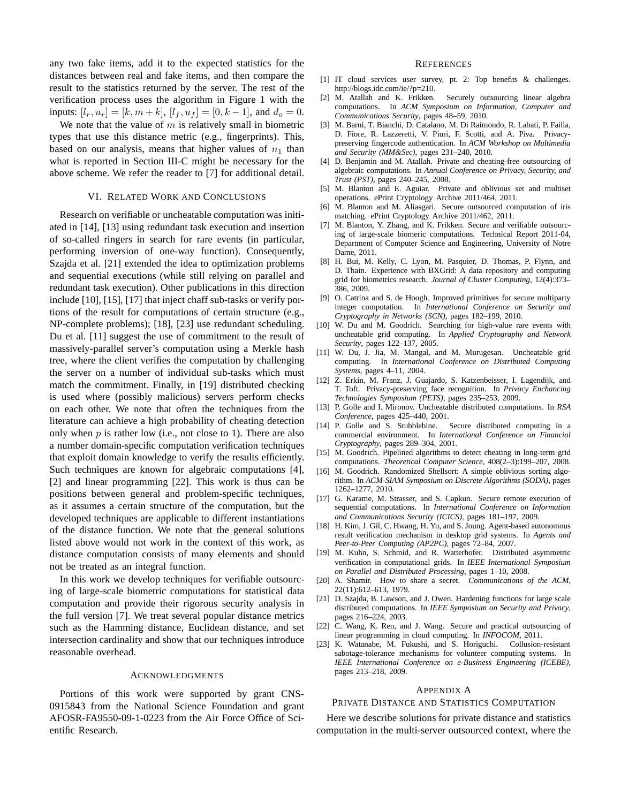any two fake items, add it to the expected statistics for the distances between real and fake items, and then compare the result to the statistics returned by the server. The rest of the verification process uses the algorithm in Figure 1 with the inputs:  $[l_r, u_r] = [k, m+k], [l_f, u_f] = [0, k-1]$ , and  $d_o = 0$ .

We note that the value of  $m$  is relatively small in biometric types that use this distance metric (e.g., fingerprints). This, based on our analysis, means that higher values of  $n_1$  than what is reported in Section III-C might be necessary for the above scheme. We refer the reader to [7] for additional detail.

#### VI. RELATED WORK AND CONCLUSIONS

Research on verifiable or uncheatable computation was initiated in [14], [13] using redundant task execution and insertion of so-called ringers in search for rare events (in particular, performing inversion of one-way function). Consequently, Szajda et al. [21] extended the idea to optimization problems and sequential executions (while still relying on parallel and redundant task execution). Other publications in this direction include [10], [15], [17] that inject chaff sub-tasks or verify portions of the result for computations of certain structure (e.g., NP-complete problems); [18], [23] use redundant scheduling. Du et al. [11] suggest the use of commitment to the result of massively-parallel server's computation using a Merkle hash tree, where the client verifies the computation by challenging the server on a number of individual sub-tasks which must match the commitment. Finally, in [19] distributed checking is used where (possibly malicious) servers perform checks on each other. We note that often the techniques from the literature can achieve a high probability of cheating detection only when  $p$  is rather low (i.e., not close to 1). There are also a number domain-specific computation verification techniques that exploit domain knowledge to verify the results efficiently. Such techniques are known for algebraic computations [4], [2] and linear programming [22]. This work is thus can be positions between general and problem-specific techniques, as it assumes a certain structure of the computation, but the developed techniques are applicable to different instantiations of the distance function. We note that the general solutions listed above would not work in the context of this work, as distance computation consists of many elements and should not be treated as an integral function.

In this work we develop techniques for verifiable outsourcing of large-scale biometric computations for statistical data computation and provide their rigorous security analysis in the full version [7]. We treat several popular distance metrics such as the Hamming distance, Euclidean distance, and set intersection cardinality and show that our techniques introduce reasonable overhead.

#### ACKNOWLEDGMENTS

Portions of this work were supported by grant CNS-0915843 from the National Science Foundation and grant AFOSR-FA9550-09-1-0223 from the Air Force Office of Scientific Research.

#### **REFERENCES**

- [1] IT cloud services user survey, pt. 2: Top benefits & challenges. http://blogs.idc.com/ie/?p=210.
- [2] M. Atallah and K. Frikken. Securely outsourcing linear algebra computations. In *ACM Symposium on Information, Computer and Communications Security*, pages 48–59, 2010.
- [3] M. Barni, T. Bianchi, D. Catalano, M. Di Raimondo, R. Labati, P. Failla, D. Fiore, R. Lazzeretti, V. Piuri, F. Scotti, and A. Piva. Privacypreserving fingercode authentication. In *ACM Workshop on Multimedia and Security (MM&Sec)*, pages 231–240, 2010.
- [4] D. Benjamin and M. Atallah. Private and cheating-free outsourcing of algebraic computations. In *Annual Conference on Privacy, Security, and Trust (PST)*, pages 240–245, 2008.
- [5] M. Blanton and E. Aguiar. Private and oblivious set and multiset operations. ePrint Cryptology Archive 2011/464, 2011.
- [6] M. Blanton and M. Aliasgari. Secure outsourced computation of iris matching. ePrint Cryptology Archive 2011/462, 2011.
- [7] M. Blanton, Y. Zhang, and K. Frikken. Secure and verifiable outsourcing of large-scale biomeric computations. Technical Report 2011-04, Department of Computer Science and Engineering, University of Notre Dame, 2011.
- [8] H. Bui, M. Kelly, C. Lyon, M. Pasquier, D. Thomas, P. Flynn, and D. Thain. Experience with BXGrid: A data repository and computing grid for biometrics research. *Journal of Cluster Computing*, 12(4):373– 386, 2009.
- [9] O. Catrina and S. de Hoogh. Improved primitives for secure multiparty integer computation. In *International Conference on Security and Cryptography in Networks (SCN)*, pages 182–199, 2010.
- [10] W. Du and M. Goodrich. Searching for high-value rare events with uncheatable grid computing. In *Applied Cryptography and Network Security*, pages 122–137, 2005.
- [11] W. Du, J. Jia, M. Mangal, and M. Murugesan. Uncheatable grid computing. In *International Conference on Distributed Computing Systems*, pages 4–11, 2004.
- [12] Z. Erkin, M. Franz, J. Guajardo, S. Katzenbeisser, I. Lagendijk, and T. Toft. Privacy-preserving face recognition. In *Privacy Enchancing Technologies Symposium (PETS)*, pages 235–253, 2009.
- [13] P. Golle and I. Mironov. Uncheatable distributed computations. In *RSA Conference*, pages 425–440, 2001.
- [14] P. Golle and S. Stubblebine. Secure distributed computing in a commercial environment. In *International Conference on Financial Cryptography*, pages 289–304, 2001.
- [15] M. Goodrich. Pipelined algorithms to detect cheating in long-term grid computations. *Theoretical Computer Science*, 408(2–3):199–207, 2008.
- [16] M. Goodrich. Randomized Shellsort: A simple oblivious sorting algorithm. In *ACM-SIAM Symposium on Discrete Algorithms (SODA)*, pages 1262–1277, 2010.
- [17] G. Karame, M. Strasser, and S. Capkun. Secure remote execution of sequential computations. In *International Conference on Information and Communications Security (ICICS)*, pages 181–197, 2009.
- [18] H. Kim, J. Gil, C. Hwang, H. Yu, and S. Joung. Agent-based autonomous result verification mechanism in desktop grid systems. In *Agents and Peer-to-Peer Computing (AP2PC)*, pages 72–84, 2007.
- [19] M. Kuhn, S. Schmid, and R. Watterhofer. Distributed asymmetric verification in computational grids. In *IEEE International Symposium on Parallel and Distributed Processing*, pages 1–10, 2008.
- [20] A. Shamir. How to share a secret. *Communications of the ACM*, 22(11):612–613, 1979.
- [21] D. Szajda, B. Lawson, and J. Owen. Hardening functions for large scale distributed computations. In *IEEE Symposium on Security and Privacy*, pages 216–224, 2003.
- [22] C. Wang, K. Ren, and J. Wang. Secure and practical outsourcing of linear programming in cloud computing. In *INFOCOM*, 2011.
- [23] K. Watanabe, M. Fukushi, and S. Horiguchi. Collusion-resistant sabotage-tolerance mechanisms for volunteer computing systems. In *IEEE International Conference on e-Business Engineering (ICEBE)*, pages 213–218, 2009.

#### APPENDIX A

#### PRIVATE DISTANCE AND STATISTICS COMPUTATION

Here we describe solutions for private distance and statistics computation in the multi-server outsourced context, where the